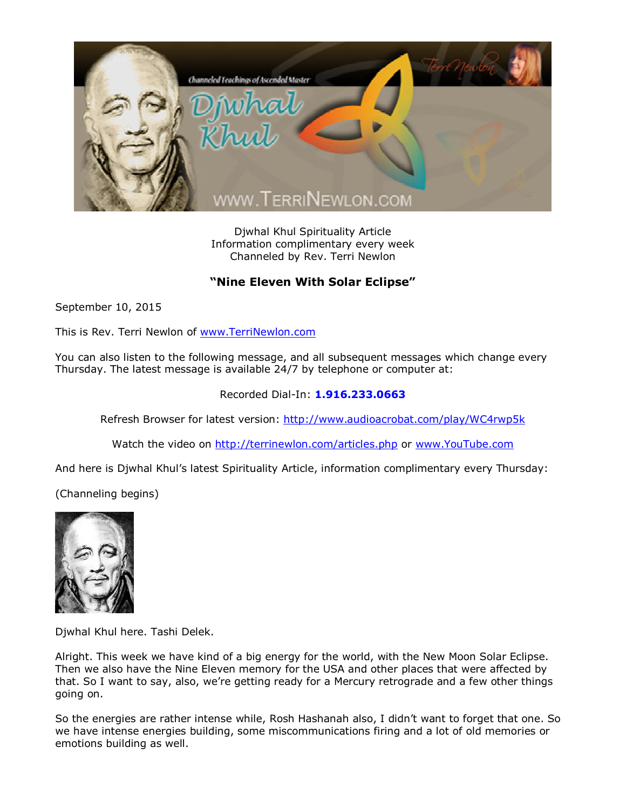

Djwhal Khul Spirituality Article Information complimentary every week Channeled by Rev. Terri Newlon

## **"Nine Eleven With Solar Eclipse"**

September 10, 2015

This is Rev. Terri Newlon of [www.TerriNewlon.com](http://www.terrinewlon.com/)

You can also listen to the following message, and all subsequent messages which change every Thursday. The latest message is available 24/7 by telephone or computer at:

## Recorded Dial-In: **1.916.233.0663**

Refresh Browser for latest version: <http://www.audioacrobat.com/play/WC4rwp5k>

Watch the video on <http://terrinewlon.com/articles.php> or [www.YouTube.com](http://www.youtube.com/)

And here is Djwhal Khul's latest Spirituality Article, information complimentary every Thursday:

(Channeling begins)



Djwhal Khul here. Tashi Delek.

Alright. This week we have kind of a big energy for the world, with the New Moon Solar Eclipse. Then we also have the Nine Eleven memory for the USA and other places that were affected by that. So I want to say, also, we're getting ready for a Mercury retrograde and a few other things going on.

So the energies are rather intense while, Rosh Hashanah also, I didn't want to forget that one. So we have intense energies building, some miscommunications firing and a lot of old memories or emotions building as well.